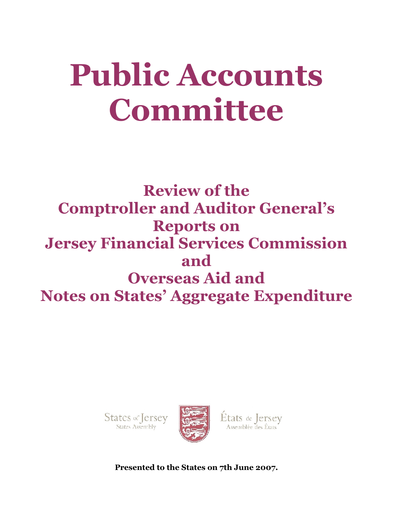# **Public Accounts Committee**

**Review of the Comptroller and Auditor General's Reports on Jersey Financial Services Commission and Overseas Aid and Notes on States' Aggregate Expenditure**





États de Jersey

**Presented to the States on 7th June 2007.**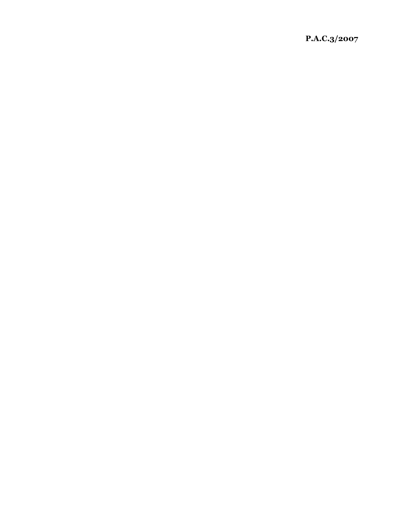**P.A.C.3/2007**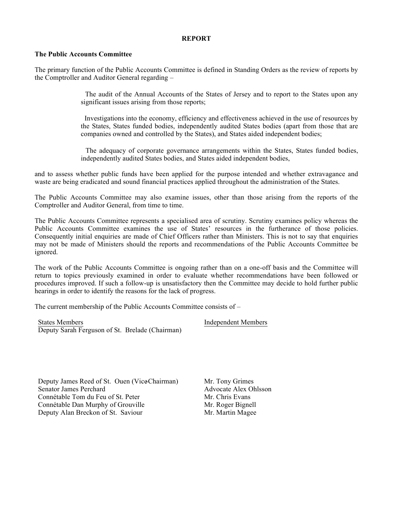## **REPORT**

### **The Public Accounts Committee**

The primary function of the Public Accounts Committee is defined in Standing Orders as the review of reports by the Comptroller and Auditor General regarding –

> The audit of the Annual Accounts of the States of Jersey and to report to the States upon any significant issues arising from those reports;

> Investigations into the economy, efficiency and effectiveness achieved in the use of resources by the States, States funded bodies, independently audited States bodies (apart from those that are companies owned and controlled by the States), and States aided independent bodies;

> The adequacy of corporate governance arrangements within the States, States funded bodies, independently audited States bodies, and States aided independent bodies,

and to assess whether public funds have been applied for the purpose intended and whether extravagance and waste are being eradicated and sound financial practices applied throughout the administration of the States.

The Public Accounts Committee may also examine issues, other than those arising from the reports of the Comptroller and Auditor General, from time to time.

The Public Accounts Committee represents a specialised area of scrutiny. Scrutiny examines policy whereas the Public Accounts Committee examines the use of States' resources in the furtherance of those policies. Consequently initial enquiries are made of Chief Officers rather than Ministers. This is not to say that enquiries may not be made of Ministers should the reports and recommendations of the Public Accounts Committee be ignored.

The work of the Public Accounts Committee is ongoing rather than on a one-off basis and the Committee will return to topics previously examined in order to evaluate whether recommendations have been followed or procedures improved. If such a follow-up is unsatisfactory then the Committee may decide to hold further public hearings in order to identify the reasons for the lack of progress.

The current membership of the Public Accounts Committee consists of –

States Members Independent Members Deputy Sarah Ferguson of St. Brelade (Chairman)

Deputy James Reed of St. Ouen (Vice-Chairman) Mr. Tony Grimes<br>
Senator James Perchard Advocate Alex Ohlsson Senator James Perchard Connétable Tom du Feu of St. Peter Mr. Chris Evans Connétable Dan Murphy of Grouville Mr. Roger Bignell Deputy Alan Breckon of St. Saviour Mr. Martin Magee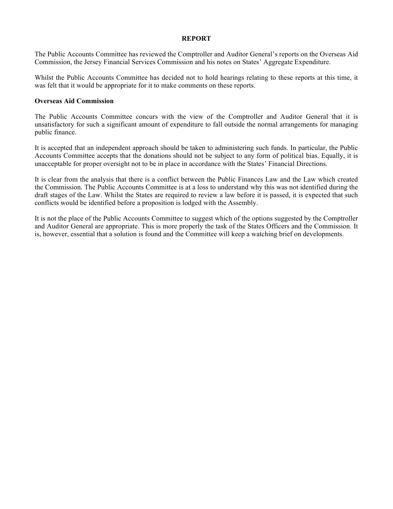### **REPORT**

The Public Accounts Committee has reviewed the Comptroller and Auditor General's reports on the Overseas Aid Commission, the Jersey Financial Services Commission and his notes on States' Aggregate Expenditure.

Whilst the Public Accounts Committee has decided not to hold hearings relating to these reports at this time, it was felt that it would be appropriate for it to make comments on these reports.

### **Overseas Aid Commission**

The Public Accounts Committee concurs with the view of the Comptroller and Auditor General that it is unsatisfactory for such a significant amount of expenditure to fall outside the normal arrangements for managing public finance.

It is accepted that an independent approach should be taken to administering such funds. In particular, the Public Accounts Committee accepts that the donations should not be subject to any form of political bias. Equally, it is unacceptable for proper oversight not to be in place in accordance with the States' Financial Directions.

It is clear from the analysis that there is a conflict between the Public Finances Law and the Law which created the Commission. The Public Accounts Committee is at a loss to understand why this was not identified during the draft stages of the Law. Whilst the States are required to review a law before it is passed, it is expected that such conflicts would be identified before a proposition is lodged with the Assembly.

It is not the place of the Public Accounts Committee to suggest which of the options suggested by the Comptroller and Auditor General are appropriate. This is more properly the task of the States Officers and the Commission. It is, however, essential that a solution is found and the Committee will keep a watching brief on developments.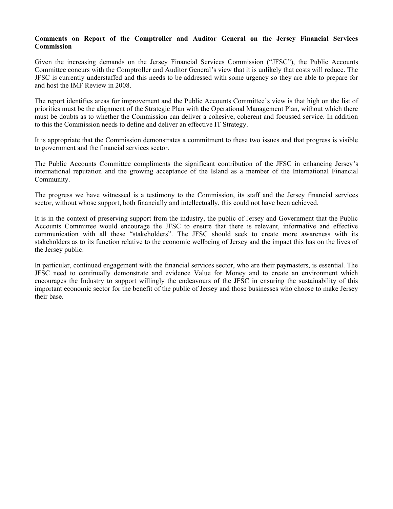## **Comments on Report of the Comptroller and Auditor General on the Jersey Financial Services Commission**

Given the increasing demands on the Jersey Financial Services Commission ("JFSC"), the Public Accounts Committee concurs with the Comptroller and Auditor General's view that it is unlikely that costs will reduce. The JFSC is currently understaffed and this needs to be addressed with some urgency so they are able to prepare for and host the IMF Review in 2008.

The report identifies areas for improvement and the Public Accounts Committee's view is that high on the list of priorities must be the alignment of the Strategic Plan with the Operational Management Plan, without which there must be doubts as to whether the Commission can deliver a cohesive, coherent and focussed service. In addition to this the Commission needs to define and deliver an effective IT Strategy.

It is appropriate that the Commission demonstrates a commitment to these two issues and that progress is visible to government and the financial services sector.

The Public Accounts Committee compliments the significant contribution of the JFSC in enhancing Jersey's international reputation and the growing acceptance of the Island as a member of the International Financial Community.

The progress we have witnessed is a testimony to the Commission, its staff and the Jersey financial services sector, without whose support, both financially and intellectually, this could not have been achieved.

It is in the context of preserving support from the industry, the public of Jersey and Government that the Public Accounts Committee would encourage the JFSC to ensure that there is relevant, informative and effective communication with all these "stakeholders". The JFSC should seek to create more awareness with its stakeholders as to its function relative to the economic wellbeing of Jersey and the impact this has on the lives of the Jersey public.

In particular, continued engagement with the financial services sector, who are their paymasters, is essential. The JFSC need to continually demonstrate and evidence Value for Money and to create an environment which encourages the Industry to support willingly the endeavours of the JFSC in ensuring the sustainability of this important economic sector for the benefit of the public of Jersey and those businesses who choose to make Jersey their base.